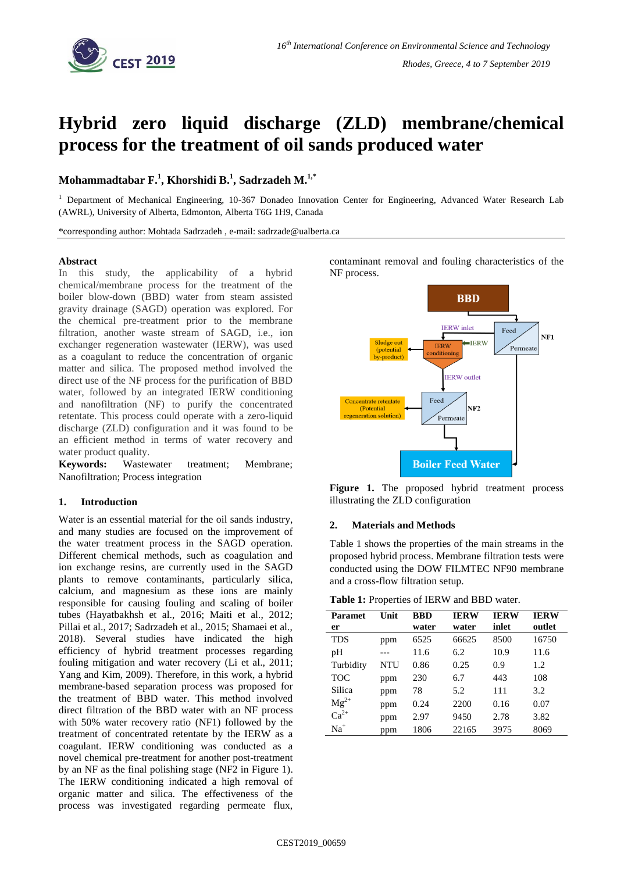

# **Hybrid zero liquid discharge (ZLD) membrane/chemical process for the treatment of oil sands produced water**

# **Mohammadtabar F.<sup>1</sup> , Khorshidi B.<sup>1</sup> , Sadrzadeh M.1,\***

<sup>1</sup> Department of Mechanical Engineering, 10-367 Donadeo Innovation Center for Engineering, Advanced Water Research Lab (AWRL), University of Alberta, Edmonton, Alberta T6G 1H9, Canada

\*corresponding author: Mohtada Sadrzadeh , e-mail: sadrzade@ualberta.ca

### **Abstract**

In this study, the applicability of a hybrid chemical/membrane process for the treatment of the boiler blow-down (BBD) water from steam assisted gravity drainage (SAGD) operation was explored. For the chemical pre-treatment prior to the membrane filtration, another waste stream of SAGD, i.e., ion exchanger regeneration wastewater (IERW), was used as a coagulant to reduce the concentration of organic matter and silica. The proposed method involved the direct use of the NF process for the purification of BBD water, followed by an integrated IERW conditioning and nanofiltration (NF) to purify the concentrated retentate. This process could operate with a zero-liquid discharge (ZLD) configuration and it was found to be an efficient method in terms of water recovery and water product quality.

**Keywords:** Wastewater treatment; Membrane; Nanofiltration; Process integration

## **1. Introduction**

Water is an essential material for the oil sands industry, and many studies are focused on the improvement of the water treatment process in the SAGD operation. Different chemical methods, such as coagulation and ion exchange resins, are currently used in the SAGD plants to remove contaminants, particularly silica, calcium, and magnesium as these ions are mainly responsible for causing fouling and scaling of boiler tubes (Hayatbakhsh et al., 2016; Maiti et al., 2012; Pillai et al., 2017; Sadrzadeh et al., 2015; Shamaei et al., 2018). Several studies have indicated the high efficiency of hybrid treatment processes regarding fouling mitigation and water recovery (Li et al., 2011; Yang and Kim, 2009). Therefore, in this work, a hybrid membrane-based separation process was proposed for the treatment of BBD water. This method involved direct filtration of the BBD water with an NF process with 50% water recovery ratio (NF1) followed by the treatment of concentrated retentate by the IERW as a coagulant. IERW conditioning was conducted as a novel chemical pre-treatment for another post-treatment by an NF as the final polishing stage (NF2 in Figure 1). The IERW conditioning indicated a high removal of organic matter and silica. The effectiveness of the process was investigated regarding permeate flux, contaminant removal and fouling characteristics of the NF process.



Figure 1. The proposed hybrid treatment process illustrating the ZLD configuration

### **2. Materials and Methods**

Table 1 shows the properties of the main streams in the proposed hybrid process. Membrane filtration tests were conducted using the DOW FILMTEC NF90 membrane and a cross-flow filtration setup.

| Table 1: Properties of IERW and BBD water. |  |
|--------------------------------------------|--|
|--------------------------------------------|--|

| <b>Paramet</b> | Unit | <b>BBD</b> | <b>IERW</b> | <b>IERW</b> | <b>IERW</b> |
|----------------|------|------------|-------------|-------------|-------------|
| er             |      | water      | water       | inlet       | outlet      |
| <b>TDS</b>     | ppm  | 6525       | 66625       | 8500        | 16750       |
| pH             |      | 11.6       | 6.2         | 10.9        | 11.6        |
| Turbidity      | NTU  | 0.86       | 0.25        | 0.9         | 1.2.        |
| <b>TOC</b>     | ppm  | 230        | 6.7         | 443         | 108         |
| Silica         | ppm  | 78         | 5.2         | 111         | 3.2         |
| $Mg^{2+}$      | ppm  | 0.24       | 2200        | 0.16        | 0.07        |
| $Ca^{2+}$      | ppm  | 2.97       | 9450        | 2.78        | 3.82        |
| $Na+$          | ppm  | 1806       | 22165       | 3975        | 8069        |